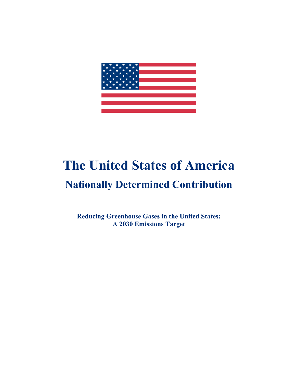

# **The United States of America**

## **Nationally Determined Contribution**

**Reducing Greenhouse Gases in the United States: A 2030 Emissions Target**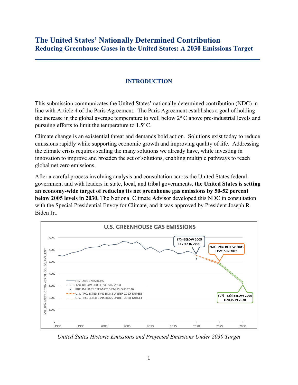#### **The United States' Nationally Determined Contribution Reducing Greenhouse Gases in the United States: A 2030 Emissions Target**

**\_\_\_\_\_\_\_\_\_\_\_\_\_\_\_\_\_\_\_\_\_\_\_\_\_\_\_\_\_\_\_\_\_\_\_\_\_\_\_\_\_\_\_\_\_\_\_\_\_\_\_\_\_\_\_\_\_\_\_\_\_\_\_\_\_\_**

#### **INTRODUCTION**

This submission communicates the United States' nationally determined contribution (NDC) in line with Article 4 of the Paris Agreement. The Paris Agreement establishes a goal of holding the increase in the global average temperature to well below  $2^{\circ}$  C above pre-industrial levels and pursuing efforts to limit the temperature to  $1.5^{\circ}$  C.

Climate change is an existential threat and demands bold action. Solutions exist today to reduce emissions rapidly while supporting economic growth and improving quality of life. Addressing the climate crisis requires scaling the many solutions we already have, while investing in innovation to improve and broaden the set of solutions, enabling multiple pathways to reach global net zero emissions.

After a careful process involving analysis and consultation across the United States federal government and with leaders in state, local, and tribal governments, **the United States is setting an economy-wide target of reducing its net greenhouse gas emissions by 50-52 percent below 2005 levels in 2030.** The National Climate Advisor developed this NDC in consultation with the Special Presidential Envoy for Climate, and it was approved by President Joseph R. Biden Jr..



*United States Historic Emissions and Projected Emissions Under 2030 Target*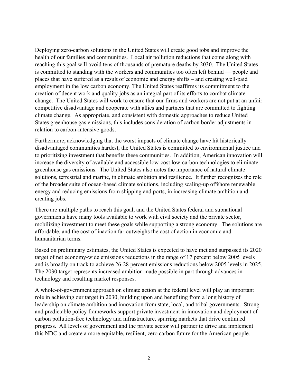Deploying zero-carbon solutions in the United States will create good jobs and improve the health of our families and communities. Local air pollution reductions that come along with reaching this goal will avoid tens of thousands of premature deaths by 2030. The United States is committed to standing with the workers and communities too often left behind — people and places that have suffered as a result of economic and energy shifts – and creating well-paid employment in the low carbon economy. The United States reaffirms its commitment to the creation of decent work and quality jobs as an integral part of its efforts to combat climate change. The United States will work to ensure that our firms and workers are not put at an unfair competitive disadvantage and cooperate with allies and partners that are committed to fighting climate change. As appropriate, and consistent with domestic approaches to reduce United States greenhouse gas emissions, this includes consideration of carbon border adjustments in relation to carbon-intensive goods.

Furthermore, acknowledging that the worst impacts of climate change have hit historically disadvantaged communities hardest, the United States is committed to environmental justice and to prioritizing investment that benefits these communities. In addition, American innovation will increase the diversity of available and accessible low-cost low-carbon technologies to eliminate greenhouse gas emissions. The United States also notes the importance of natural climate solutions, terrestrial and marine, in climate ambition and resilience. It further recognizes the role of the broader suite of ocean-based climate solutions, including scaling-up offshore renewable energy and reducing emissions from shipping and ports, in increasing climate ambition and creating jobs.

There are multiple paths to reach this goal, and the United States federal and subnational governments have many tools available to work with civil society and the private sector, mobilizing investment to meet these goals while supporting a strong economy. The solutions are affordable, and the cost of inaction far outweighs the cost of action in economic and humanitarian terms.

Based on preliminary estimates, the United States is expected to have met and surpassed its 2020 target of net economy-wide emissions reductions in the range of 17 percent below 2005 levels and is broadly on track to achieve 26-28 percent emissions reductions below 2005 levels in 2025. The 2030 target represents increased ambition made possible in part through advances in technology and resulting market responses.

A whole-of-government approach on climate action at the federal level will play an important role in achieving our target in 2030, building upon and benefiting from a long history of leadership on climate ambition and innovation from state, local, and tribal governments. Strong and predictable policy frameworks support private investment in innovation and deployment of carbon pollution-free technology and infrastructure, spurring markets that drive continued progress. All levels of government and the private sector will partner to drive and implement this NDC and create a more equitable, resilient, zero carbon future for the American people.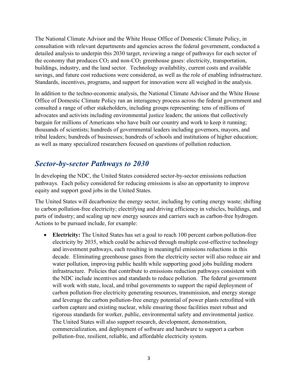The National Climate Advisor and the White House Office of Domestic Climate Policy, in consultation with relevant departments and agencies across the federal government, conducted a detailed analysis to underpin this 2030 target, reviewing a range of pathways for each sector of the economy that produces  $CO<sub>2</sub>$  and non- $CO<sub>2</sub>$  greenhouse gases: electricity, transportation, buildings, industry, and the land sector. Technology availability, current costs and available savings, and future cost reductions were considered, as well as the role of enabling infrastructure. Standards, incentives, programs, and support for innovation were all weighed in the analysis.

In addition to the techno-economic analysis, the National Climate Advisor and the White House Office of Domestic Climate Policy ran an interagency process across the federal government and consulted a range of other stakeholders, including groups representing: tens of millions of advocates and activists including environmental justice leaders; the unions that collectively bargain for millions of Americans who have built our country and work to keep it running; thousands of scientists; hundreds of governmental leaders including governors, mayors, and tribal leaders; hundreds of businesses; hundreds of schools and institutions of higher education; as well as many specialized researchers focused on questions of pollution reduction.

#### *Sector-by-sector Pathways to 2030*

In developing the NDC, the United States considered sector-by-sector emissions reduction pathways. Each policy considered for reducing emissions is also an opportunity to improve equity and support good jobs in the United States.

The United States will decarbonize the energy sector, including by cutting energy waste; shifting to carbon pollution-free electricity; electrifying and driving efficiency in vehicles, buildings, and parts of industry; and scaling up new energy sources and carriers such as carbon-free hydrogen. Actions to be pursued include, for example:

• **Electricity:** The United States has set a goal to reach 100 percent carbon pollution-free electricity by 2035, which could be achieved through multiple cost-effective technology and investment pathways, each resulting in meaningful emissions reductions in this decade. Eliminating greenhouse gases from the electricity sector will also reduce air and water pollution, improving public health while supporting good jobs building modern infrastructure. Policies that contribute to emissions reduction pathways consistent with the NDC include incentives and standards to reduce pollution. The federal government will work with state, local, and tribal governments to support the rapid deployment of carbon pollution-free electricity generating resources, transmission, and energy storage and leverage the carbon pollution-free energy potential of power plants retrofitted with carbon capture and existing nuclear, while ensuring those facilities meet robust and rigorous standards for worker, public, environmental safety and environmental justice. The United States will also support research, development, demonstration, commercialization, and deployment of software and hardware to support a carbon pollution-free, resilient, reliable, and affordable electricity system.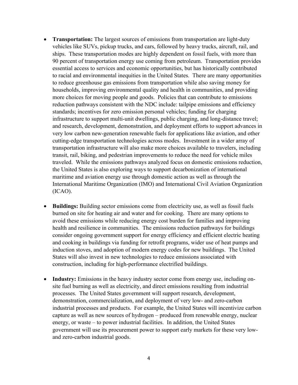- **Transportation:** The largest sources of emissions from transportation are light-duty vehicles like SUVs, pickup trucks, and cars, followed by heavy trucks, aircraft, rail, and ships. These transportation modes are highly dependent on fossil fuels, with more than 90 percent of transportation energy use coming from petroleum. Transportation provides essential access to services and economic opportunities, but has historically contributed to racial and environmental inequities in the United States. There are many opportunities to reduce greenhouse gas emissions from transportation while also saving money for households, improving environmental quality and health in communities, and providing more choices for moving people and goods. Policies that can contribute to emissions reduction pathways consistent with the NDC include: tailpipe emissions and efficiency standards; incentives for zero emission personal vehicles; funding for charging infrastructure to support multi-unit dwellings, public charging, and long-distance travel; and research, development, demonstration, and deployment efforts to support advances in very low carbon new-generation renewable fuels for applications like aviation, and other cutting-edge transportation technologies across modes. Investment in a wider array of transportation infrastructure will also make more choices available to travelers, including transit, rail, biking, and pedestrian improvements to reduce the need for vehicle miles traveled. While the emissions pathways analyzed focus on domestic emissions reduction, the United States is also exploring ways to support decarbonization of international maritime and aviation energy use through domestic action as well as through the International Maritime Organization (IMO) and International Civil Aviation Organization (ICAO).
- **Buildings:** Building sector emissions come from electricity use, as well as fossil fuels burned on site for heating air and water and for cooking. There are many options to avoid these emissions while reducing energy cost burden for families and improving health and resilience in communities. The emissions reduction pathways for buildings consider ongoing government support for energy efficiency and efficient electric heating and cooking in buildings via funding for retrofit programs, wider use of heat pumps and induction stoves, and adoption of modern energy codes for new buildings. The United States will also invest in new technologies to reduce emissions associated with construction, including for high-performance electrified buildings.
- **Industry:** Emissions in the heavy industry sector come from energy use, including onsite fuel burning as well as electricity, and direct emissions resulting from industrial processes. The United States government will support research, development, demonstration, commercialization, and deployment of very low- and zero-carbon industrial processes and products. For example, the United States will incentivize carbon capture as well as new sources of hydrogen – produced from renewable energy, nuclear energy, or waste – to power industrial facilities. In addition, the United States government will use its procurement power to support early markets for these very lowand zero-carbon industrial goods.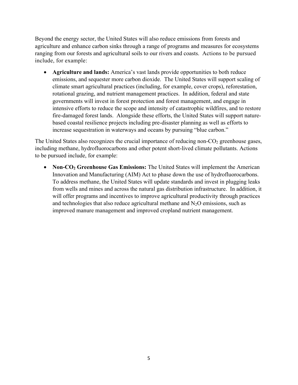Beyond the energy sector, the United States will also reduce emissions from forests and agriculture and enhance carbon sinks through a range of programs and measures for ecosystems ranging from our forests and agricultural soils to our rivers and coasts. Actions to be pursued include, for example:

• **Agriculture and lands:** America's vast lands provide opportunities to both reduce emissions, and sequester more carbon dioxide. The United States will support scaling of climate smart agricultural practices (including, for example, cover crops), reforestation, rotational grazing, and nutrient management practices. In addition, federal and state governments will invest in forest protection and forest management, and engage in intensive efforts to reduce the scope and intensity of catastrophic wildfires, and to restore fire-damaged forest lands. Alongside these efforts, the United States will support naturebased coastal resilience projects including pre-disaster planning as well as efforts to increase sequestration in waterways and oceans by pursuing "blue carbon."

The United States also recognizes the crucial importance of reducing non- $CO<sub>2</sub>$  greenhouse gases, including methane, hydrofluorocarbons and other potent short-lived climate pollutants. Actions to be pursued include, for example:

• **Non-CO<sub>2</sub>** Greenhouse Gas Emissions: The United States will implement the American Innovation and Manufacturing (AIM) Act to phase down the use of hydrofluorocarbons. To address methane, the United States will update standards and invest in plugging leaks from wells and mines and across the natural gas distribution infrastructure. In addition, it will offer programs and incentives to improve agricultural productivity through practices and technologies that also reduce agricultural methane and  $N_2O$  emissions, such as improved manure management and improved cropland nutrient management.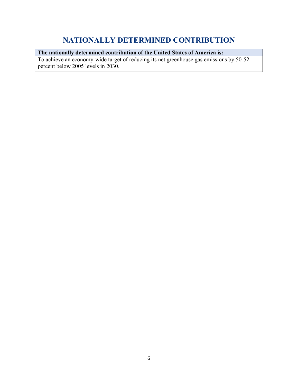#### **NATIONALLY DETERMINED CONTRIBUTION**

#### **The nationally determined contribution of the United States of America is:**

To achieve an economy-wide target of reducing its net greenhouse gas emissions by 50-52 percent below 2005 levels in 2030.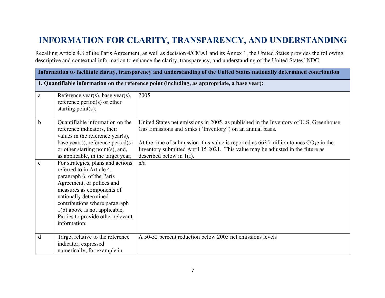### **INFORMATION FOR CLARITY, TRANSPARENCY, AND UNDERSTANDING**

Recalling Article 4.8 of the Paris Agreement, as well as decision 4/CMA1 and its Annex 1, the United States provides the following descriptive and contextual information to enhance the clarity, transparency, and understanding of the United States' NDC.

| Information to facilitate clarity, transparency and understanding of the United States nationally determined contribution |                                                                                                                                                                                                                                                                                     |                                                                                                                                                                                                                                                                                                                                                                                   |  |
|---------------------------------------------------------------------------------------------------------------------------|-------------------------------------------------------------------------------------------------------------------------------------------------------------------------------------------------------------------------------------------------------------------------------------|-----------------------------------------------------------------------------------------------------------------------------------------------------------------------------------------------------------------------------------------------------------------------------------------------------------------------------------------------------------------------------------|--|
|                                                                                                                           | 1. Quantifiable information on the reference point (including, as appropriate, a base year):                                                                                                                                                                                        |                                                                                                                                                                                                                                                                                                                                                                                   |  |
| a                                                                                                                         | Reference year(s), base year(s),<br>reference $period(s)$ or other<br>starting $point(s)$ ;                                                                                                                                                                                         | 2005                                                                                                                                                                                                                                                                                                                                                                              |  |
| $\mathbf b$<br>$\mathbf{C}$                                                                                               | Quantifiable information on the<br>reference indicators, their<br>values in the reference year(s),<br>base year(s), reference period(s)<br>or other starting point(s), and,<br>as applicable, in the target year;<br>For strategies, plans and actions<br>referred to in Article 4, | United States net emissions in 2005, as published in the Inventory of U.S. Greenhouse<br>Gas Emissions and Sinks ("Inventory") on an annual basis.<br>At the time of submission, this value is reported as $6635$ million tonnes CO <sub>2</sub> e in the<br>Inventory submitted April 15 2021. This value may be adjusted in the future as<br>described below in $1(f)$ .<br>n/a |  |
|                                                                                                                           | paragraph 6, of the Paris<br>Agreement, or polices and<br>measures as components of<br>nationally determined<br>contributions where paragraph<br>1(b) above is not applicable,<br>Parties to provide other relevant<br>information;                                                 |                                                                                                                                                                                                                                                                                                                                                                                   |  |
| d                                                                                                                         | Target relative to the reference<br>indicator, expressed<br>numerically, for example in                                                                                                                                                                                             | A 50-52 percent reduction below 2005 net emissions levels                                                                                                                                                                                                                                                                                                                         |  |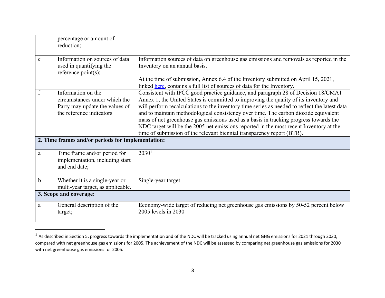|             | percentage or amount of<br>reduction;                                                                             |                                                                                                                                                                                                                                                                                                                                                                                                                                                                                                                                                                                                                                 |
|-------------|-------------------------------------------------------------------------------------------------------------------|---------------------------------------------------------------------------------------------------------------------------------------------------------------------------------------------------------------------------------------------------------------------------------------------------------------------------------------------------------------------------------------------------------------------------------------------------------------------------------------------------------------------------------------------------------------------------------------------------------------------------------|
| e           | Information on sources of data<br>used in quantifying the<br>reference point(s);                                  | Information sources of data on greenhouse gas emissions and removals as reported in the<br>Inventory on an annual basis.<br>At the time of submission, Annex 6.4 of the Inventory submitted on April 15, 2021,<br>linked <u>here</u> , contains a full list of sources of data for the Inventory.                                                                                                                                                                                                                                                                                                                               |
| $\mathbf f$ | Information on the<br>circumstances under which the<br>Party may update the values of<br>the reference indicators | Consistent with IPCC good practice guidance, and paragraph 28 of Decision 18/CMA1<br>Annex 1, the United States is committed to improving the quality of its inventory and<br>will perform recalculations to the inventory time series as needed to reflect the latest data<br>and to maintain methodological consistency over time. The carbon dioxide equivalent<br>mass of net greenhouse gas emissions used as a basis in tracking progress towards the<br>NDC target will be the 2005 net emissions reported in the most recent Inventory at the<br>time of submission of the relevant biennial transparency report (BTR). |
|             | 2. Time frames and/or periods for implementation:                                                                 |                                                                                                                                                                                                                                                                                                                                                                                                                                                                                                                                                                                                                                 |
| a           | Time frame and/or period for<br>implementation, including start<br>and end date;                                  | 2030 <sup>1</sup>                                                                                                                                                                                                                                                                                                                                                                                                                                                                                                                                                                                                               |
| b           | Whether it is a single-year or<br>multi-year target, as applicable.                                               | Single-year target                                                                                                                                                                                                                                                                                                                                                                                                                                                                                                                                                                                                              |
|             | 3. Scope and coverage:                                                                                            |                                                                                                                                                                                                                                                                                                                                                                                                                                                                                                                                                                                                                                 |
| a           | General description of the<br>target;                                                                             | Economy-wide target of reducing net greenhouse gas emissions by 50-52 percent below<br>2005 levels in 2030                                                                                                                                                                                                                                                                                                                                                                                                                                                                                                                      |

 $1$  As described in Section 5, progress towards the implementation and of the NDC will be tracked using annual net GHG emissions for 2021 through 2030, compared with net greenhouse gas emissions for 2005. The achievement of the NDC will be assessed by comparing net greenhouse gas emissions for 2030 with net greenhouse gas emissions for 2005.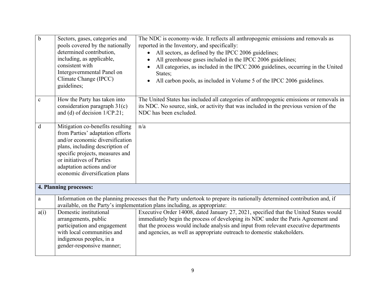| $\mathbf b$  | Sectors, gases, categories and<br>pools covered by the nationally<br>determined contribution,<br>including, as applicable,<br>consistent with<br>Intergovernmental Panel on<br>Climate Change (IPCC)<br>guidelines;                                                       | The NDC is economy-wide. It reflects all anthropogenic emissions and removals as<br>reported in the Inventory, and specifically:<br>All sectors, as defined by the IPCC 2006 guidelines;<br>All greenhouse gases included in the IPCC 2006 guidelines;<br>All categories, as included in the IPCC 2006 guidelines, occurring in the United<br>States;<br>All carbon pools, as included in Volume 5 of the IPCC 2006 guidelines. |
|--------------|---------------------------------------------------------------------------------------------------------------------------------------------------------------------------------------------------------------------------------------------------------------------------|---------------------------------------------------------------------------------------------------------------------------------------------------------------------------------------------------------------------------------------------------------------------------------------------------------------------------------------------------------------------------------------------------------------------------------|
| $\mathbf c$  | How the Party has taken into<br>consideration paragraph $31(c)$<br>and (d) of decision $1/CP.21$ ;                                                                                                                                                                        | The United States has included all categories of anthropogenic emissions or removals in<br>its NDC. No source, sink, or activity that was included in the previous version of the<br>NDC has been excluded.                                                                                                                                                                                                                     |
| $\mathbf d$  | Mitigation co-benefits resulting<br>from Parties' adaptation efforts<br>and/or economic diversification<br>plans, including description of<br>specific projects, measures and<br>or initiatives of Parties<br>adaptation actions and/or<br>economic diversification plans | n/a                                                                                                                                                                                                                                                                                                                                                                                                                             |
|              | 4. Planning processes:                                                                                                                                                                                                                                                    |                                                                                                                                                                                                                                                                                                                                                                                                                                 |
| $\mathbf{a}$ | Information on the planning processes that the Party undertook to prepare its nationally determined contribution and, if<br>available, on the Party's implementation plans including, as appropriate:                                                                     |                                                                                                                                                                                                                                                                                                                                                                                                                                 |
| a(i)         | Domestic institutional<br>arrangements, public<br>participation and engagement<br>with local communities and<br>indigenous peoples, in a<br>gender-responsive manner;                                                                                                     | Executive Order 14008, dated January 27, 2021, specified that the United States would<br>immediately begin the process of developing its NDC under the Paris Agreement and<br>that the process would include analysis and input from relevant executive departments<br>and agencies, as well as appropriate outreach to domestic stakeholders.                                                                                  |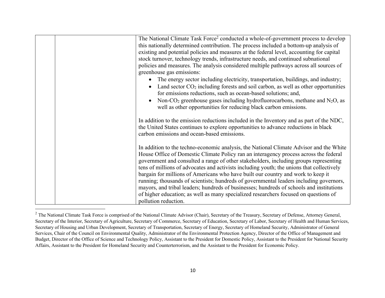|  | The National Climate Task Force <sup>2</sup> conducted a whole-of-government process to develop                                                                                                                                |
|--|--------------------------------------------------------------------------------------------------------------------------------------------------------------------------------------------------------------------------------|
|  | this nationally determined contribution. The process included a bottom-up analysis of                                                                                                                                          |
|  | existing and potential policies and measures at the federal level, accounting for capital                                                                                                                                      |
|  | stock turnover, technology trends, infrastructure needs, and continued subnational                                                                                                                                             |
|  | policies and measures. The analysis considered multiple pathways across all sources of                                                                                                                                         |
|  | greenhouse gas emissions:                                                                                                                                                                                                      |
|  | The energy sector including electricity, transportation, buildings, and industry;                                                                                                                                              |
|  | Land sector $CO2$ including forests and soil carbon, as well as other opportunities<br>for emissions reductions, such as ocean-based solutions; and,                                                                           |
|  | Non-CO <sub>2</sub> greenhouse gases including hydrofluorocarbons, methane and $N_2O$ , as                                                                                                                                     |
|  | well as other opportunities for reducing black carbon emissions.                                                                                                                                                               |
|  | In addition to the emission reductions included in the Inventory and as part of the NDC,<br>the United States continues to explore opportunities to advance reductions in black<br>carbon emissions and ocean-based emissions. |
|  | In addition to the techno-economic analysis, the National Climate Advisor and the White<br>House Office of Domestic Climate Policy ran an interagency process across the federal                                               |
|  | government and consulted a range of other stakeholders, including groups representing<br>tens of millions of advocates and activists including youth; the unions that collectively                                             |
|  | bargain for millions of Americans who have built our country and work to keep it                                                                                                                                               |
|  | running; thousands of scientists; hundreds of governmental leaders including governors,                                                                                                                                        |
|  | mayors, and tribal leaders; hundreds of businesses; hundreds of schools and institutions                                                                                                                                       |
|  | of higher education; as well as many specialized researchers focused on questions of                                                                                                                                           |
|  | pollution reduction.                                                                                                                                                                                                           |

 $2$  The National Climate Task Force is comprised of the National Climate Advisor (Chair), Secretary of the Treasury, Secretary of Defense, Attorney General, Secretary of the Interior, Secretary of Agriculture, Secretary of Commerce, Secretary of Education, Secretary of Labor, Secretary of Health and Human Services, Secretary of Housing and Urban Development, Secretary of Transportation, Secretary of Energy, Secretary of Homeland Security, Administrator of General Services, Chair of the Council on Environmental Quality, Administrator of the Environmental Protection Agency, Director of the Office of Management and Budget, Director of the Office of Science and Technology Policy, Assistant to the President for Domestic Policy, Assistant to the President for National Security Affairs, Assistant to the President for Homeland Security and Counterterrorism, and the Assistant to the President for Economic Policy.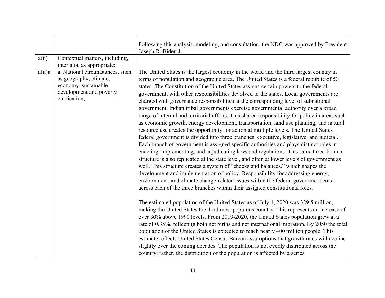| The United States is the largest economy in the world and the third largest country in<br>terms of population and geographic area. The United States is a federal republic of 50<br>states. The Constitution of the United States assigns certain powers to the federal<br>government, with other responsibilities devolved to the states. Local governments are<br>charged with governance responsibilities at the corresponding level of subnational<br>government. Indian tribal governments exercise governmental authority over a broad<br>range of internal and territorial affairs. This shared responsibility for policy in areas such<br>as economic growth, energy development, transportation, land use planning, and natural<br>resource use creates the opportunity for action at multiple levels. The United States<br>federal government is divided into three branches: executive, legislative, and judicial.<br>Each branch of government is assigned specific authorities and plays distinct roles in<br>enacting, implementing, and adjudicating laws and regulations. This same three-branch<br>structure is also replicated at the state level, and often at lower levels of government as<br>well. This structure creates a system of "checks and balances," which shapes the<br>development and implementation of policy. Responsibility for addressing energy,<br>environment, and climate change-related issues within the federal government cuts<br>across each of the three branches within their assigned constitutional roles.<br>The estimated population of the United States as of July 1, 2020 was 329.5 million,<br>making the United States the third most populous country. This represents an increase of<br>over 30% above 1990 levels. From 2019-2020, the United States population grew at a<br>rate of 0.35%. reflecting both net births and net international migration. By 2050 the total<br>population of the United States is expected to reach nearly 400 million people. This<br>estimate reflects United States Census Bureau assumptions that growth rates will decline<br>slightly over the coming decades. The population is not evenly distributed across the<br>country; rather, the distribution of the population is affected by a series |
|---------------------------------------------------------------------------------------------------------------------------------------------------------------------------------------------------------------------------------------------------------------------------------------------------------------------------------------------------------------------------------------------------------------------------------------------------------------------------------------------------------------------------------------------------------------------------------------------------------------------------------------------------------------------------------------------------------------------------------------------------------------------------------------------------------------------------------------------------------------------------------------------------------------------------------------------------------------------------------------------------------------------------------------------------------------------------------------------------------------------------------------------------------------------------------------------------------------------------------------------------------------------------------------------------------------------------------------------------------------------------------------------------------------------------------------------------------------------------------------------------------------------------------------------------------------------------------------------------------------------------------------------------------------------------------------------------------------------------------------------------------------------------------------------------------------------------------------------------------------------------------------------------------------------------------------------------------------------------------------------------------------------------------------------------------------------------------------------------------------------------------------------------------------------------------------------------------------------------------------------------------------------------------------------------|
|                                                                                                                                                                                                                                                                                                                                                                                                                                                                                                                                                                                                                                                                                                                                                                                                                                                                                                                                                                                                                                                                                                                                                                                                                                                                                                                                                                                                                                                                                                                                                                                                                                                                                                                                                                                                                                                                                                                                                                                                                                                                                                                                                                                                                                                                                                   |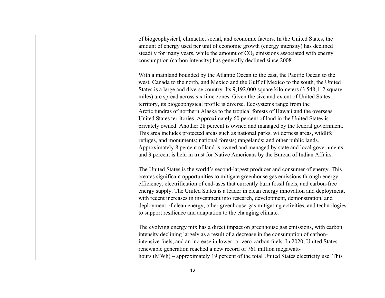|  | of biogeophysical, climactic, social, and economic factors. In the United States, the<br>amount of energy used per unit of economic growth (energy intensity) has declined<br>steadily for many years, while the amount of $CO2$ emissions associated with energy<br>consumption (carbon intensity) has generally declined since 2008.                                                                                                                                                                                                                                                                                                                                                                                                                                                                                                                                                                                                                                                                                                                                         |
|--|--------------------------------------------------------------------------------------------------------------------------------------------------------------------------------------------------------------------------------------------------------------------------------------------------------------------------------------------------------------------------------------------------------------------------------------------------------------------------------------------------------------------------------------------------------------------------------------------------------------------------------------------------------------------------------------------------------------------------------------------------------------------------------------------------------------------------------------------------------------------------------------------------------------------------------------------------------------------------------------------------------------------------------------------------------------------------------|
|  | With a mainland bounded by the Atlantic Ocean to the east, the Pacific Ocean to the<br>west, Canada to the north, and Mexico and the Gulf of Mexico to the south, the United<br>States is a large and diverse country. Its 9,192,000 square kilometers (3,548,112 square<br>miles) are spread across six time zones. Given the size and extent of United States<br>territory, its biogeophysical profile is diverse. Ecosystems range from the<br>Arctic tundras of northern Alaska to the tropical forests of Hawaii and the overseas<br>United States territories. Approximately 60 percent of land in the United States is<br>privately owned. Another 28 percent is owned and managed by the federal government.<br>This area includes protected areas such as national parks, wilderness areas, wildlife<br>refuges, and monuments; national forests; rangelands; and other public lands.<br>Approximately 8 percent of land is owned and managed by state and local governments,<br>and 3 percent is held in trust for Native Americans by the Bureau of Indian Affairs. |
|  | The United States is the world's second-largest producer and consumer of energy. This<br>creates significant opportunities to mitigate greenhouse gas emissions through energy<br>efficiency, electrification of end-uses that currently burn fossil fuels, and carbon-free<br>energy supply. The United States is a leader in clean energy innovation and deployment,<br>with recent increases in investment into research, development, demonstration, and<br>deployment of clean energy, other greenhouse-gas mitigating activities, and technologies<br>to support resilience and adaptation to the changing climate.                                                                                                                                                                                                                                                                                                                                                                                                                                                      |
|  | The evolving energy mix has a direct impact on greenhouse gas emissions, with carbon<br>intensity declining largely as a result of a decrease in the consumption of carbon-<br>intensive fuels, and an increase in lower- or zero-carbon fuels. In 2020, United States<br>renewable generation reached a new record of 761 million megawatt-<br>hours (MWh) – approximately 19 percent of the total United States electricity use. This                                                                                                                                                                                                                                                                                                                                                                                                                                                                                                                                                                                                                                        |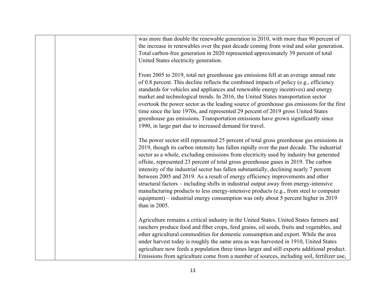|  | was more than double the renewable generation in 2010, with more than 90 percent of<br>the increase in renewables over the past decade coming from wind and solar generation.<br>Total carbon-free generation in 2020 represented approximately 39 percent of total<br>United States electricity generation.                                                                                                                                                                                                                                                                                                                                                                                                                                                                                                                                  |
|--|-----------------------------------------------------------------------------------------------------------------------------------------------------------------------------------------------------------------------------------------------------------------------------------------------------------------------------------------------------------------------------------------------------------------------------------------------------------------------------------------------------------------------------------------------------------------------------------------------------------------------------------------------------------------------------------------------------------------------------------------------------------------------------------------------------------------------------------------------|
|  | From 2005 to 2019, total net greenhouse gas emissions fell at an average annual rate<br>of 0.8 percent. This decline reflects the combined impacts of policy (e.g., efficiency<br>standards for vehicles and appliances and renewable energy incentives) and energy<br>market and technological trends. In 2016, the United States transportation sector<br>overtook the power sector as the leading source of greenhouse gas emissions for the first<br>time since the late 1970s, and represented 29 percent of 2019 gross United States<br>greenhouse gas emissions. Transportation emissions have grown significantly since<br>1990, in large part due to increased demand for travel.                                                                                                                                                    |
|  | The power sector still represented 25 percent of total gross greenhouse gas emissions in<br>2019, though its carbon intensity has fallen rapidly over the past decade. The industrial<br>sector as a whole, excluding emissions from electricity used by industry but generated<br>offsite, represented 23 percent of total gross greenhouse gases in 2019. The carbon<br>intensity of the industrial sector has fallen substantially, declining nearly 7 percent<br>between 2005 and 2019. As a result of energy efficiency improvements and other<br>structural factors - including shifts in industrial output away from energy-intensive<br>manufacturing products to less energy-intensive products (e.g., from steel to computer<br>equipment) – industrial energy consumption was only about 5 percent higher in 2019<br>than in 2005. |
|  | Agriculture remains a critical industry in the United States. United States farmers and<br>ranchers produce food and fiber crops, feed grains, oil seeds, fruits and vegetables, and<br>other agricultural commodities for domestic consumption and export. While the area<br>under harvest today is roughly the same area as was harvested in 1910, United States<br>agriculture now feeds a population three times larger and still exports additional product.<br>Emissions from agriculture come from a number of sources, including soil, fertilizer use,                                                                                                                                                                                                                                                                                |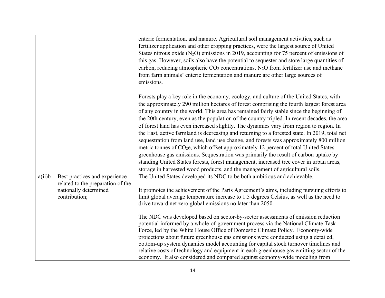|        |                                                                                                              | enteric fermentation, and manure. Agricultural soil management activities, such as<br>fertilizer application and other cropping practices, were the largest source of United<br>States nitrous oxide $(N_2O)$ emissions in 2019, accounting for 75 percent of emissions of<br>this gas. However, soils also have the potential to sequester and store large quantities of<br>carbon, reducing atmospheric $CO2$ concentrations. N <sub>2</sub> O from fertilizer use and methane<br>from farm animals' enteric fermentation and manure are other large sources of<br>emissions.                                                                                                                                                                                                                                                                                                                                                                                                                                                                  |
|--------|--------------------------------------------------------------------------------------------------------------|--------------------------------------------------------------------------------------------------------------------------------------------------------------------------------------------------------------------------------------------------------------------------------------------------------------------------------------------------------------------------------------------------------------------------------------------------------------------------------------------------------------------------------------------------------------------------------------------------------------------------------------------------------------------------------------------------------------------------------------------------------------------------------------------------------------------------------------------------------------------------------------------------------------------------------------------------------------------------------------------------------------------------------------------------|
|        |                                                                                                              | Forests play a key role in the economy, ecology, and culture of the United States, with<br>the approximately 290 million hectares of forest comprising the fourth largest forest area<br>of any country in the world. This area has remained fairly stable since the beginning of<br>the 20th century, even as the population of the country tripled. In recent decades, the area<br>of forest land has even increased slightly. The dynamics vary from region to region. In<br>the East, active farmland is decreasing and returning to a forested state. In 2019, total net<br>sequestration from land use, land use change, and forests was approximately 800 million<br>metric tonnes of CO <sub>2</sub> e, which offset approximately 12 percent of total United States<br>greenhouse gas emissions. Sequestration was primarily the result of carbon uptake by<br>standing United States forests, forest management, increased tree cover in urban areas,<br>storage in harvested wood products, and the management of agricultural soils. |
| a(ii)b | Best practices and experience<br>related to the preparation of the<br>nationally determined<br>contribution; | The United States developed its NDC to be both ambitious and achievable.<br>It promotes the achievement of the Paris Agreement's aims, including pursuing efforts to<br>limit global average temperature increase to 1.5 degrees Celsius, as well as the need to<br>drive toward net zero global emissions no later than 2050.<br>The NDC was developed based on sector-by-sector assessments of emission reduction<br>potential informed by a whole-of-government process via the National Climate Task<br>Force, led by the White House Office of Domestic Climate Policy. Economy-wide<br>projections about future greenhouse gas emissions were conducted using a detailed,<br>bottom-up system dynamics model accounting for capital stock turnover timelines and<br>relative costs of technology and equipment in each greenhouse gas emitting sector of the<br>economy. It also considered and compared against economy-wide modeling from                                                                                                |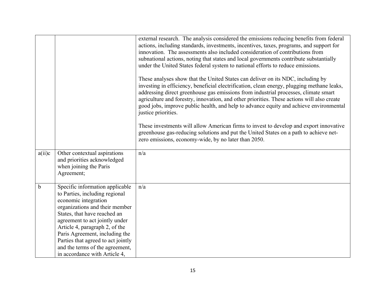|             |                                                                                                                                                                                                                                                                                                                                                                             | external research. The analysis considered the emissions reducing benefits from federal<br>actions, including standards, investments, incentives, taxes, programs, and support for<br>innovation. The assessments also included consideration of contributions from<br>subnational actions, noting that states and local governments contribute substantially<br>under the United States federal system to national efforts to reduce emissions.<br>These analyses show that the United States can deliver on its NDC, including by<br>investing in efficiency, beneficial electrification, clean energy, plugging methane leaks,<br>addressing direct greenhouse gas emissions from industrial processes, climate smart<br>agriculture and forestry, innovation, and other priorities. These actions will also create<br>good jobs, improve public health, and help to advance equity and achieve environmental<br>justice priorities. |
|-------------|-----------------------------------------------------------------------------------------------------------------------------------------------------------------------------------------------------------------------------------------------------------------------------------------------------------------------------------------------------------------------------|-----------------------------------------------------------------------------------------------------------------------------------------------------------------------------------------------------------------------------------------------------------------------------------------------------------------------------------------------------------------------------------------------------------------------------------------------------------------------------------------------------------------------------------------------------------------------------------------------------------------------------------------------------------------------------------------------------------------------------------------------------------------------------------------------------------------------------------------------------------------------------------------------------------------------------------------|
|             |                                                                                                                                                                                                                                                                                                                                                                             | These investments will allow American firms to invest to develop and export innovative<br>greenhouse gas-reducing solutions and put the United States on a path to achieve net-<br>zero emissions, economy-wide, by no later than 2050.                                                                                                                                                                                                                                                                                                                                                                                                                                                                                                                                                                                                                                                                                                 |
| a(ii)c      | Other contextual aspirations<br>and priorities acknowledged<br>when joining the Paris<br>Agreement;                                                                                                                                                                                                                                                                         | n/a                                                                                                                                                                                                                                                                                                                                                                                                                                                                                                                                                                                                                                                                                                                                                                                                                                                                                                                                     |
| $\mathbf b$ | Specific information applicable<br>to Parties, including regional<br>economic integration<br>organizations and their member<br>States, that have reached an<br>agreement to act jointly under<br>Article 4, paragraph 2, of the<br>Paris Agreement, including the<br>Parties that agreed to act jointly<br>and the terms of the agreement,<br>in accordance with Article 4, | n/a                                                                                                                                                                                                                                                                                                                                                                                                                                                                                                                                                                                                                                                                                                                                                                                                                                                                                                                                     |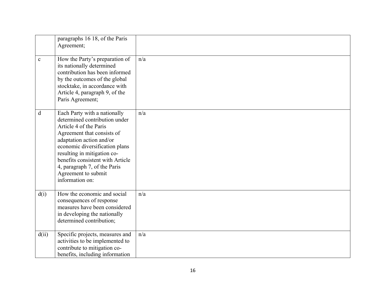|             | paragraphs 16 18, of the Paris<br>Agreement;                                                                                                                                                                                                                                                                                     |     |
|-------------|----------------------------------------------------------------------------------------------------------------------------------------------------------------------------------------------------------------------------------------------------------------------------------------------------------------------------------|-----|
| $\mathbf c$ | How the Party's preparation of<br>its nationally determined<br>contribution has been informed<br>by the outcomes of the global<br>stocktake, in accordance with<br>Article 4, paragraph 9, of the<br>Paris Agreement;                                                                                                            | n/a |
| d           | Each Party with a nationally<br>determined contribution under<br>Article 4 of the Paris<br>Agreement that consists of<br>adaptation action and/or<br>economic diversification plans<br>resulting in mitigation co-<br>benefits consistent with Article<br>4, paragraph 7, of the Paris<br>Agreement to submit<br>information on: | n/a |
| d(i)        | How the economic and social<br>consequences of response<br>measures have been considered<br>in developing the nationally<br>determined contribution;                                                                                                                                                                             | n/a |
| d(ii)       | Specific projects, measures and<br>activities to be implemented to<br>contribute to mitigation co-<br>benefits, including information                                                                                                                                                                                            | n/a |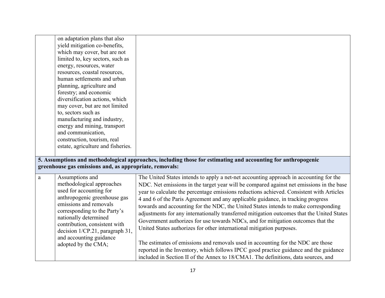|   | on adaptation plans that also<br>yield mitigation co-benefits,<br>which may cover, but are not<br>limited to, key sectors, such as<br>energy, resources, water<br>resources, coastal resources,<br>human settlements and urban<br>planning, agriculture and<br>forestry; and economic<br>diversification actions, which<br>may cover, but are not limited<br>to, sectors such as<br>manufacturing and industry,<br>energy and mining, transport<br>and communication,<br>construction, tourism, real<br>estate, agriculture and fisheries. |                                                                                                                                                                                                                                                                                                                                                                                                                                                                                                                                                                                                                                                                                                                                                                                                                                                                                                                                                                                         |
|---|--------------------------------------------------------------------------------------------------------------------------------------------------------------------------------------------------------------------------------------------------------------------------------------------------------------------------------------------------------------------------------------------------------------------------------------------------------------------------------------------------------------------------------------------|-----------------------------------------------------------------------------------------------------------------------------------------------------------------------------------------------------------------------------------------------------------------------------------------------------------------------------------------------------------------------------------------------------------------------------------------------------------------------------------------------------------------------------------------------------------------------------------------------------------------------------------------------------------------------------------------------------------------------------------------------------------------------------------------------------------------------------------------------------------------------------------------------------------------------------------------------------------------------------------------|
|   | greenhouse gas emissions and, as appropriate, removals:                                                                                                                                                                                                                                                                                                                                                                                                                                                                                    | 5. Assumptions and methodological approaches, including those for estimating and accounting for anthropogenic                                                                                                                                                                                                                                                                                                                                                                                                                                                                                                                                                                                                                                                                                                                                                                                                                                                                           |
| a | Assumptions and<br>methodological approaches<br>used for accounting for<br>anthropogenic greenhouse gas<br>emissions and removals<br>corresponding to the Party's<br>nationally determined<br>contribution, consistent with<br>decision 1/CP.21, paragraph 31,<br>and accounting guidance<br>adopted by the CMA;                                                                                                                                                                                                                           | The United States intends to apply a net-net accounting approach in accounting for the<br>NDC. Net emissions in the target year will be compared against net emissions in the base<br>year to calculate the percentage emissions reductions achieved. Consistent with Articles<br>4 and 6 of the Paris Agreement and any applicable guidance, in tracking progress<br>towards and accounting for the NDC, the United States intends to make corresponding<br>adjustments for any internationally transferred mitigation outcomes that the United States<br>Government authorizes for use towards NDCs, and for mitigation outcomes that the<br>United States authorizes for other international mitigation purposes.<br>The estimates of emissions and removals used in accounting for the NDC are those<br>reported in the Inventory, which follows IPCC good practice guidance and the guidance<br>included in Section II of the Annex to 18/CMA1. The definitions, data sources, and |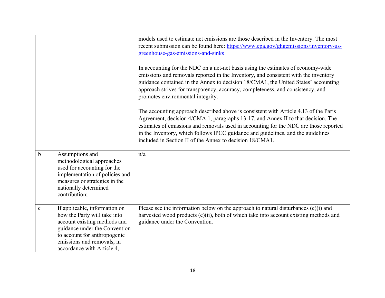|             |                                                                                                                                                                                                                            | models used to estimate net emissions are those described in the Inventory. The most<br>recent submission can be found here: https://www.epa.gov/ghgemissions/inventory-us-<br>greenhouse-gas-emissions-and-sinks<br>In accounting for the NDC on a net-net basis using the estimates of economy-wide<br>emissions and removals reported in the Inventory, and consistent with the inventory<br>guidance contained in the Annex to decision 18/CMA1, the United States' accounting<br>approach strives for transparency, accuracy, completeness, and consistency, and<br>promotes environmental integrity.<br>The accounting approach described above is consistent with Article 4.13 of the Paris<br>Agreement, decision 4/CMA.1, paragraphs 13-17, and Annex II to that decision. The<br>estimates of emissions and removals used in accounting for the NDC are those reported<br>in the Inventory, which follows IPCC guidance and guidelines, and the guidelines<br>included in Section II of the Annex to decision 18/CMA1. |
|-------------|----------------------------------------------------------------------------------------------------------------------------------------------------------------------------------------------------------------------------|----------------------------------------------------------------------------------------------------------------------------------------------------------------------------------------------------------------------------------------------------------------------------------------------------------------------------------------------------------------------------------------------------------------------------------------------------------------------------------------------------------------------------------------------------------------------------------------------------------------------------------------------------------------------------------------------------------------------------------------------------------------------------------------------------------------------------------------------------------------------------------------------------------------------------------------------------------------------------------------------------------------------------------|
| $\mathbf b$ | Assumptions and<br>methodological approaches<br>used for accounting for the<br>implementation of policies and<br>measures or strategies in the<br>nationally determined<br>contribution;                                   | n/a                                                                                                                                                                                                                                                                                                                                                                                                                                                                                                                                                                                                                                                                                                                                                                                                                                                                                                                                                                                                                              |
| $\mathbf c$ | If applicable, information on<br>how the Party will take into<br>account existing methods and<br>guidance under the Convention<br>to account for anthropogenic<br>emissions and removals, in<br>accordance with Article 4, | Please see the information below on the approach to natural disturbances $(e)(i)$ and<br>harvested wood products (e)(ii), both of which take into account existing methods and<br>guidance under the Convention.                                                                                                                                                                                                                                                                                                                                                                                                                                                                                                                                                                                                                                                                                                                                                                                                                 |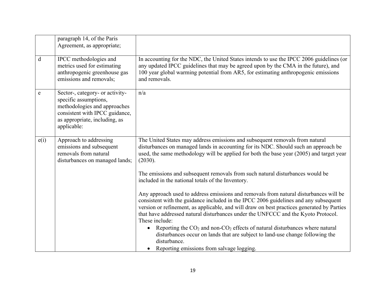|      | paragraph 14, of the Paris<br>Agreement, as appropriate;                                                                                                                   |                                                                                                                                                                                                                                                                                                                                                                                                                                         |
|------|----------------------------------------------------------------------------------------------------------------------------------------------------------------------------|-----------------------------------------------------------------------------------------------------------------------------------------------------------------------------------------------------------------------------------------------------------------------------------------------------------------------------------------------------------------------------------------------------------------------------------------|
| d    | IPCC methodologies and<br>metrics used for estimating<br>anthropogenic greenhouse gas<br>emissions and removals;                                                           | In accounting for the NDC, the United States intends to use the IPCC 2006 guidelines (or<br>any updated IPCC guidelines that may be agreed upon by the CMA in the future), and<br>100 year global warming potential from AR5, for estimating anthropogenic emissions<br>and removals.                                                                                                                                                   |
| e    | Sector-, category- or activity-<br>specific assumptions,<br>methodologies and approaches<br>consistent with IPCC guidance,<br>as appropriate, including, as<br>applicable: | n/a                                                                                                                                                                                                                                                                                                                                                                                                                                     |
| e(i) | Approach to addressing<br>emissions and subsequent<br>removals from natural<br>disturbances on managed lands;                                                              | The United States may address emissions and subsequent removals from natural<br>disturbances on managed lands in accounting for its NDC. Should such an approach be<br>used, the same methodology will be applied for both the base year (2005) and target year<br>(2030).<br>The emissions and subsequent removals from such natural disturbances would be                                                                             |
|      |                                                                                                                                                                            | included in the national totals of the Inventory.<br>Any approach used to address emissions and removals from natural disturbances will be<br>consistent with the guidance included in the IPCC 2006 guidelines and any subsequent<br>version or refinement, as applicable, and will draw on best practices generated by Parties<br>that have addressed natural disturbances under the UNFCCC and the Kyoto Protocol.<br>These include: |
|      |                                                                                                                                                                            | Reporting the $CO2$ and non- $CO2$ effects of natural disturbances where natural<br>disturbances occur on lands that are subject to land-use change following the<br>disturbance.<br>• Reporting emissions from salvage logging.                                                                                                                                                                                                        |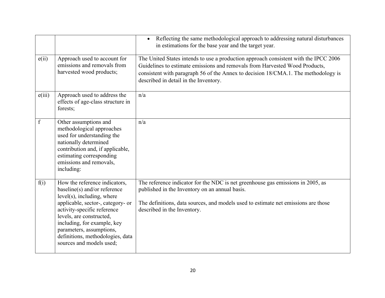|             |                                                                                                                                                                                                                                                                                                                           | Reflecting the same methodological approach to addressing natural disturbances<br>$\bullet$<br>in estimations for the base year and the target year.                                                                                                                                               |
|-------------|---------------------------------------------------------------------------------------------------------------------------------------------------------------------------------------------------------------------------------------------------------------------------------------------------------------------------|----------------------------------------------------------------------------------------------------------------------------------------------------------------------------------------------------------------------------------------------------------------------------------------------------|
| e(i)        | Approach used to account for<br>emissions and removals from<br>harvested wood products;                                                                                                                                                                                                                                   | The United States intends to use a production approach consistent with the IPCC 2006<br>Guidelines to estimate emissions and removals from Harvested Wood Products,<br>consistent with paragraph 56 of the Annex to decision 18/CMA.1. The methodology is<br>described in detail in the Inventory. |
| e(iii)      | Approach used to address the<br>effects of age-class structure in<br>forests;                                                                                                                                                                                                                                             | n/a                                                                                                                                                                                                                                                                                                |
| $\mathbf f$ | Other assumptions and<br>methodological approaches<br>used for understanding the<br>nationally determined<br>contribution and, if applicable,<br>estimating corresponding<br>emissions and removals,<br>including:                                                                                                        | n/a                                                                                                                                                                                                                                                                                                |
| f(i)        | How the reference indicators,<br>baseline(s) and/or reference<br>$level(s)$ , including, where<br>applicable, sector-, category- or<br>activity-specific reference<br>levels, are constructed,<br>including, for example, key<br>parameters, assumptions,<br>definitions, methodologies, data<br>sources and models used; | The reference indicator for the NDC is net greenhouse gas emissions in 2005, as<br>published in the Inventory on an annual basis.<br>The definitions, data sources, and models used to estimate net emissions are those<br>described in the Inventory.                                             |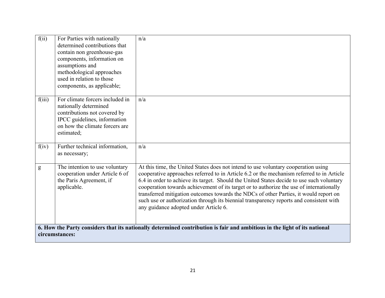| f(ii)  | For Parties with nationally<br>determined contributions that<br>contain non greenhouse-gas<br>components, information on<br>assumptions and<br>methodological approaches<br>used in relation to those<br>components, as applicable; | n/a                                                                                                                                                                                                                                                                                                                                                                                                                                                                                                                                                                                                   |
|--------|-------------------------------------------------------------------------------------------------------------------------------------------------------------------------------------------------------------------------------------|-------------------------------------------------------------------------------------------------------------------------------------------------------------------------------------------------------------------------------------------------------------------------------------------------------------------------------------------------------------------------------------------------------------------------------------------------------------------------------------------------------------------------------------------------------------------------------------------------------|
| f(iii) | For climate forcers included in<br>nationally determined<br>contributions not covered by<br>IPCC guidelines, information<br>on how the climate forcers are<br>estimated;                                                            | n/a                                                                                                                                                                                                                                                                                                                                                                                                                                                                                                                                                                                                   |
| f(iv)  | Further technical information,<br>as necessary;                                                                                                                                                                                     | n/a                                                                                                                                                                                                                                                                                                                                                                                                                                                                                                                                                                                                   |
| g      | The intention to use voluntary<br>cooperation under Article 6 of<br>the Paris Agreement, if<br>applicable.                                                                                                                          | At this time, the United States does not intend to use voluntary cooperation using<br>cooperative approaches referred to in Article 6.2 or the mechanism referred to in Article<br>6.4 in order to achieve its target. Should the United States decide to use such voluntary<br>cooperation towards achievement of its target or to authorize the use of internationally<br>transferred mitigation outcomes towards the NDCs of other Parties, it would report on<br>such use or authorization through its biennial transparency reports and consistent with<br>any guidance adopted under Article 6. |
|        | 6. How the Party considers that its nationally determined contribution is fair and ambitious in the light of its national<br>circumstances:                                                                                         |                                                                                                                                                                                                                                                                                                                                                                                                                                                                                                                                                                                                       |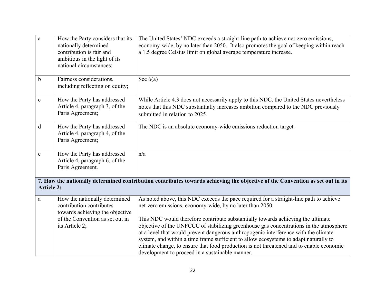| $\mathbf{a}$                                                                                                                                       | How the Party considers that its<br>nationally determined<br>contribution is fair and<br>ambitious in the light of its<br>national circumstances; | The United States' NDC exceeds a straight-line path to achieve net-zero emissions,<br>economy-wide, by no later than 2050. It also promotes the goal of keeping within reach<br>a 1.5 degree Celsius limit on global average temperature increase.                                                                                                                                                                                                                                                                                                                                                                                                            |  |  |
|----------------------------------------------------------------------------------------------------------------------------------------------------|---------------------------------------------------------------------------------------------------------------------------------------------------|---------------------------------------------------------------------------------------------------------------------------------------------------------------------------------------------------------------------------------------------------------------------------------------------------------------------------------------------------------------------------------------------------------------------------------------------------------------------------------------------------------------------------------------------------------------------------------------------------------------------------------------------------------------|--|--|
| $\mathbf b$                                                                                                                                        | Fairness considerations,<br>including reflecting on equity;                                                                                       | See $6(a)$                                                                                                                                                                                                                                                                                                                                                                                                                                                                                                                                                                                                                                                    |  |  |
| $\mathbf c$                                                                                                                                        | How the Party has addressed<br>Article 4, paragraph 3, of the<br>Paris Agreement;                                                                 | While Article 4.3 does not necessarily apply to this NDC, the United States nevertheless<br>notes that this NDC substantially increases ambition compared to the NDC previously<br>submitted in relation to 2025.                                                                                                                                                                                                                                                                                                                                                                                                                                             |  |  |
| $\mathbf d$                                                                                                                                        | How the Party has addressed<br>Article 4, paragraph 4, of the<br>Paris Agreement;                                                                 | The NDC is an absolute economy-wide emissions reduction target.                                                                                                                                                                                                                                                                                                                                                                                                                                                                                                                                                                                               |  |  |
| e                                                                                                                                                  | How the Party has addressed<br>Article 4, paragraph 6, of the<br>Paris Agreement.                                                                 | n/a                                                                                                                                                                                                                                                                                                                                                                                                                                                                                                                                                                                                                                                           |  |  |
| 7. How the nationally determined contribution contributes towards achieving the objective of the Convention as set out in its<br><b>Article 2:</b> |                                                                                                                                                   |                                                                                                                                                                                                                                                                                                                                                                                                                                                                                                                                                                                                                                                               |  |  |
| a                                                                                                                                                  | How the nationally determined<br>contribution contributes<br>towards achieving the objective<br>of the Convention as set out in<br>its Article 2; | As noted above, this NDC exceeds the pace required for a straight-line path to achieve<br>net-zero emissions, economy-wide, by no later than 2050.<br>This NDC would therefore contribute substantially towards achieving the ultimate<br>objective of the UNFCCC of stabilizing greenhouse gas concentrations in the atmosphere<br>at a level that would prevent dangerous anthropogenic interference with the climate<br>system, and within a time frame sufficient to allow ecosystems to adapt naturally to<br>climate change, to ensure that food production is not threatened and to enable economic<br>development to proceed in a sustainable manner. |  |  |